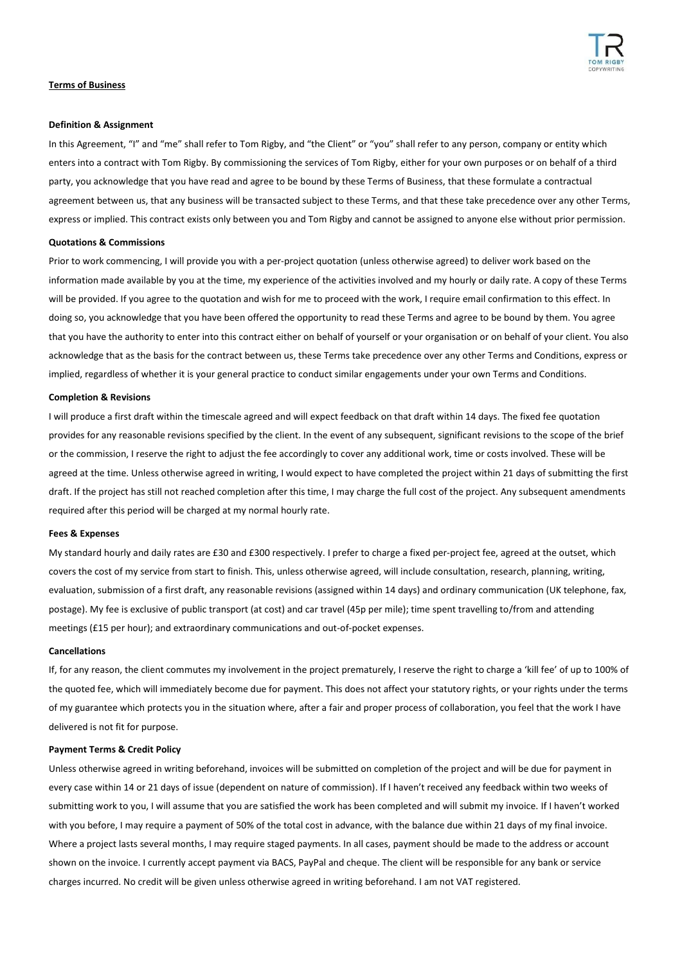

# **Terms of Business**

#### **Definition & Assignment**

In this Agreement, "I" and "me" shall refer to Tom Rigby, and "the Client" or "you" shall refer to any person, company or entity which enters into a contract with Tom Rigby. By commissioning the services of Tom Rigby, either for your own purposes or on behalf of a third party, you acknowledge that you have read and agree to be bound by these Terms of Business, that these formulate a contractual agreement between us, that any business will be transacted subject to these Terms, and that these take precedence over any other Terms, express or implied. This contract exists only between you and Tom Rigby and cannot be assigned to anyone else without prior permission.

## **Quotations & Commissions**

Prior to work commencing, I will provide you with a per-project quotation (unless otherwise agreed) to deliver work based on the information made available by you at the time, my experience of the activities involved and my hourly or daily rate. A copy of these Terms will be provided. If you agree to the quotation and wish for me to proceed with the work, I require email confirmation to this effect. In doing so, you acknowledge that you have been offered the opportunity to read these Terms and agree to be bound by them. You agree that you have the authority to enter into this contract either on behalf of yourself or your organisation or on behalf of your client. You also acknowledge that as the basis for the contract between us, these Terms take precedence over any other Terms and Conditions, express or implied, regardless of whether it is your general practice to conduct similar engagements under your own Terms and Conditions.

#### **Completion & Revisions**

I will produce a first draft within the timescale agreed and will expect feedback on that draft within 14 days. The fixed fee quotation provides for any reasonable revisions specified by the client. In the event of any subsequent, significant revisions to the scope of the brief or the commission, I reserve the right to adjust the fee accordingly to cover any additional work, time or costs involved. These will be agreed at the time. Unless otherwise agreed in writing, I would expect to have completed the project within 21 days of submitting the first draft. If the project has still not reached completion after this time, I may charge the full cost of the project. Any subsequent amendments required after this period will be charged at my normal hourly rate.

### **Fees & Expenses**

My standard hourly and daily rates are £30 and £300 respectively. I prefer to charge a fixed per-project fee, agreed at the outset, which covers the cost of my service from start to finish. This, unless otherwise agreed, will include consultation, research, planning, writing, evaluation, submission of a first draft, any reasonable revisions (assigned within 14 days) and ordinary communication (UK telephone, fax, postage). My fee is exclusive of public transport (at cost) and car travel (45p per mile); time spent travelling to/from and attending meetings (£15 per hour); and extraordinary communications and out-of-pocket expenses.

### **Cancellations**

If, for any reason, the client commutes my involvement in the project prematurely, I reserve the right to charge a 'kill fee' of up to 100% of the quoted fee, which will immediately become due for payment. This does not affect your statutory rights, or your rights under the terms of my guarantee which protects you in the situation where, after a fair and proper process of collaboration, you feel that the work I have delivered is not fit for purpose.

# **Payment Terms & Credit Policy**

Unless otherwise agreed in writing beforehand, invoices will be submitted on completion of the project and will be due for payment in every case within 14 or 21 days of issue (dependent on nature of commission). If I haven't received any feedback within two weeks of submitting work to you, I will assume that you are satisfied the work has been completed and will submit my invoice. If I haven't worked with you before, I may require a payment of 50% of the total cost in advance, with the balance due within 21 days of my final invoice. Where a project lasts several months, I may require staged payments. In all cases, payment should be made to the address or account shown on the invoice. I currently accept payment via BACS, PayPal and cheque. The client will be responsible for any bank or service charges incurred. No credit will be given unless otherwise agreed in writing beforehand. I am not VAT registered.